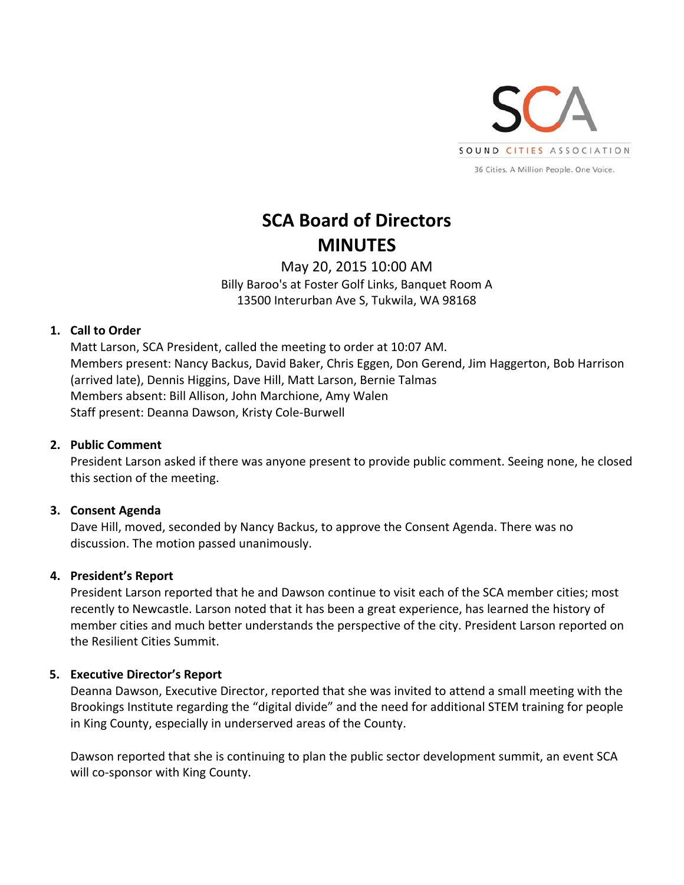

# **SCA Board of Directors MINUTES**

May 20, 2015 10:00 AM Billy Baroo's at Foster Golf Links, Banquet Room A 13500 Interurban Ave S, Tukwila, WA 98168

# **1. Call to Order**

Matt Larson, SCA President, called the meeting to order at 10:07 AM. Members present: Nancy Backus, David Baker, Chris Eggen, Don Gerend, Jim Haggerton, Bob Harrison (arrived late), Dennis Higgins, Dave Hill, Matt Larson, Bernie Talmas Members absent: Bill Allison, John Marchione, Amy Walen Staff present: Deanna Dawson, Kristy Cole‐Burwell

# **2. Public Comment**

President Larson asked if there was anyone present to provide public comment. Seeing none, he closed this section of the meeting.

# **3. Consent Agenda**

Dave Hill, moved, seconded by Nancy Backus, to approve the Consent Agenda. There was no discussion. The motion passed unanimously.

# **4. President's Report**

President Larson reported that he and Dawson continue to visit each of the SCA member cities; most recently to Newcastle. Larson noted that it has been a great experience, has learned the history of member cities and much better understands the perspective of the city. President Larson reported on the Resilient Cities Summit.

# **5. Executive Director's Report**

Deanna Dawson, Executive Director, reported that she was invited to attend a small meeting with the Brookings Institute regarding the "digital divide" and the need for additional STEM training for people in King County, especially in underserved areas of the County.

Dawson reported that she is continuing to plan the public sector development summit, an event SCA will co-sponsor with King County.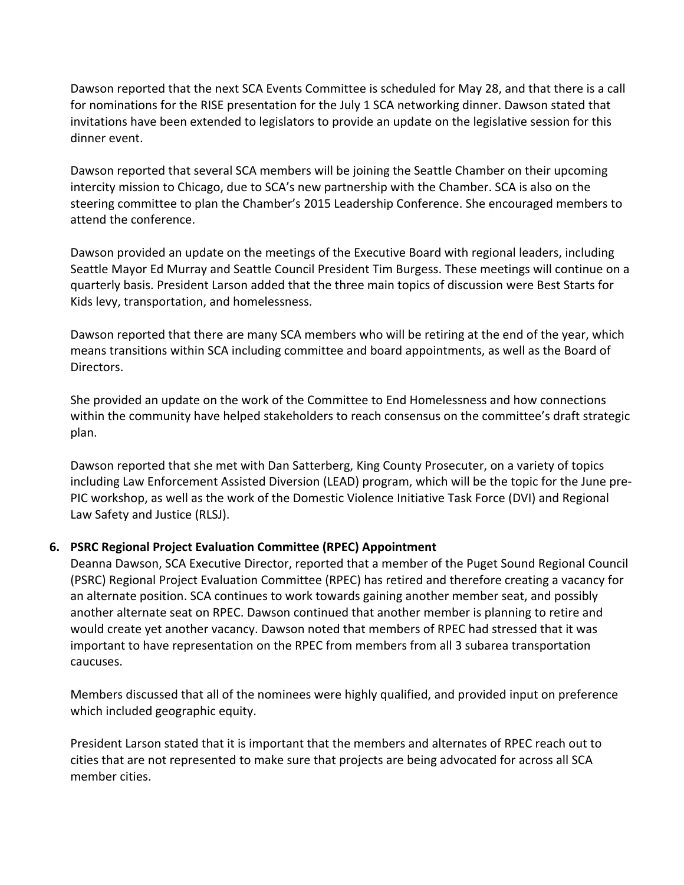Dawson reported that the next SCA Events Committee is scheduled for May 28, and that there is a call for nominations for the RISE presentation for the July 1 SCA networking dinner. Dawson stated that invitations have been extended to legislators to provide an update on the legislative session for this dinner event.

Dawson reported that several SCA members will be joining the Seattle Chamber on their upcoming intercity mission to Chicago, due to SCA's new partnership with the Chamber. SCA is also on the steering committee to plan the Chamber's 2015 Leadership Conference. She encouraged members to attend the conference.

Dawson provided an update on the meetings of the Executive Board with regional leaders, including Seattle Mayor Ed Murray and Seattle Council President Tim Burgess. These meetings will continue on a quarterly basis. President Larson added that the three main topics of discussion were Best Starts for Kids levy, transportation, and homelessness.

Dawson reported that there are many SCA members who will be retiring at the end of the year, which means transitions within SCA including committee and board appointments, as well as the Board of Directors.

She provided an update on the work of the Committee to End Homelessness and how connections within the community have helped stakeholders to reach consensus on the committee's draft strategic plan.

Dawson reported that she met with Dan Satterberg, King County Prosecuter, on a variety of topics including Law Enforcement Assisted Diversion (LEAD) program, which will be the topic for the June pre‐ PIC workshop, as well as the work of the Domestic Violence Initiative Task Force (DVI) and Regional Law Safety and Justice (RLSJ).

# **6. PSRC Regional Project Evaluation Committee (RPEC) Appointment**

Deanna Dawson, SCA Executive Director, reported that a member of the Puget Sound Regional Council (PSRC) Regional Project Evaluation Committee (RPEC) has retired and therefore creating a vacancy for an alternate position. SCA continues to work towards gaining another member seat, and possibly another alternate seat on RPEC. Dawson continued that another member is planning to retire and would create yet another vacancy. Dawson noted that members of RPEC had stressed that it was important to have representation on the RPEC from members from all 3 subarea transportation caucuses.

Members discussed that all of the nominees were highly qualified, and provided input on preference which included geographic equity.

President Larson stated that it is important that the members and alternates of RPEC reach out to cities that are not represented to make sure that projects are being advocated for across all SCA member cities.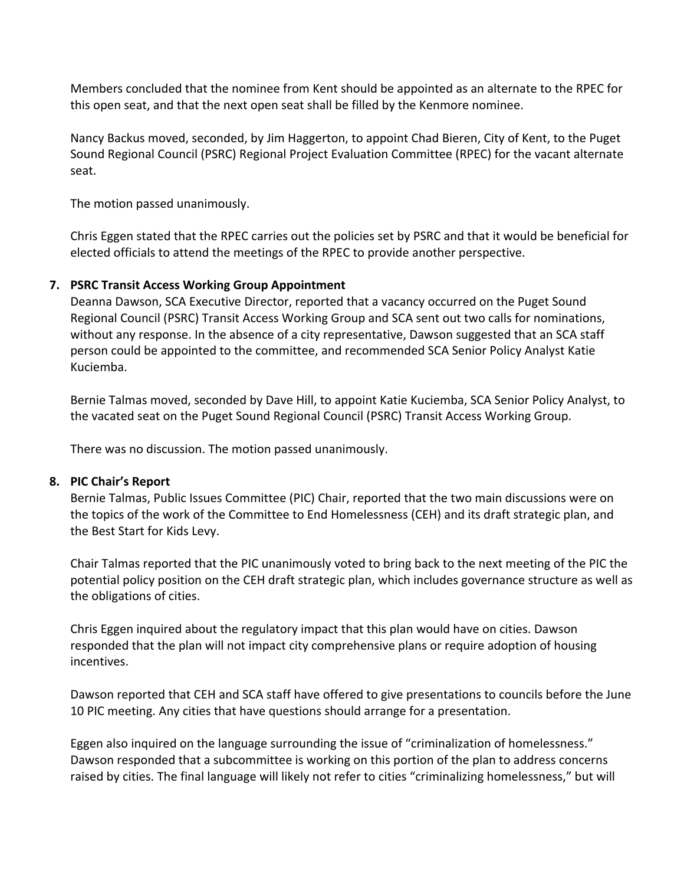Members concluded that the nominee from Kent should be appointed as an alternate to the RPEC for this open seat, and that the next open seat shall be filled by the Kenmore nominee.

Nancy Backus moved, seconded, by Jim Haggerton, to appoint Chad Bieren, City of Kent, to the Puget Sound Regional Council (PSRC) Regional Project Evaluation Committee (RPEC) for the vacant alternate seat.

The motion passed unanimously.

Chris Eggen stated that the RPEC carries out the policies set by PSRC and that it would be beneficial for elected officials to attend the meetings of the RPEC to provide another perspective.

## **7. PSRC Transit Access Working Group Appointment**

Deanna Dawson, SCA Executive Director, reported that a vacancy occurred on the Puget Sound Regional Council (PSRC) Transit Access Working Group and SCA sent out two calls for nominations, without any response. In the absence of a city representative, Dawson suggested that an SCA staff person could be appointed to the committee, and recommended SCA Senior Policy Analyst Katie Kuciemba.

Bernie Talmas moved, seconded by Dave Hill, to appoint Katie Kuciemba, SCA Senior Policy Analyst, to the vacated seat on the Puget Sound Regional Council (PSRC) Transit Access Working Group.

There was no discussion. The motion passed unanimously.

## **8. PIC Chair's Report**

Bernie Talmas, Public Issues Committee (PIC) Chair, reported that the two main discussions were on the topics of the work of the Committee to End Homelessness (CEH) and its draft strategic plan, and the Best Start for Kids Levy.

Chair Talmas reported that the PIC unanimously voted to bring back to the next meeting of the PIC the potential policy position on the CEH draft strategic plan, which includes governance structure as well as the obligations of cities.

Chris Eggen inquired about the regulatory impact that this plan would have on cities. Dawson responded that the plan will not impact city comprehensive plans or require adoption of housing incentives.

Dawson reported that CEH and SCA staff have offered to give presentations to councils before the June 10 PIC meeting. Any cities that have questions should arrange for a presentation.

Eggen also inquired on the language surrounding the issue of "criminalization of homelessness." Dawson responded that a subcommittee is working on this portion of the plan to address concerns raised by cities. The final language will likely not refer to cities "criminalizing homelessness," but will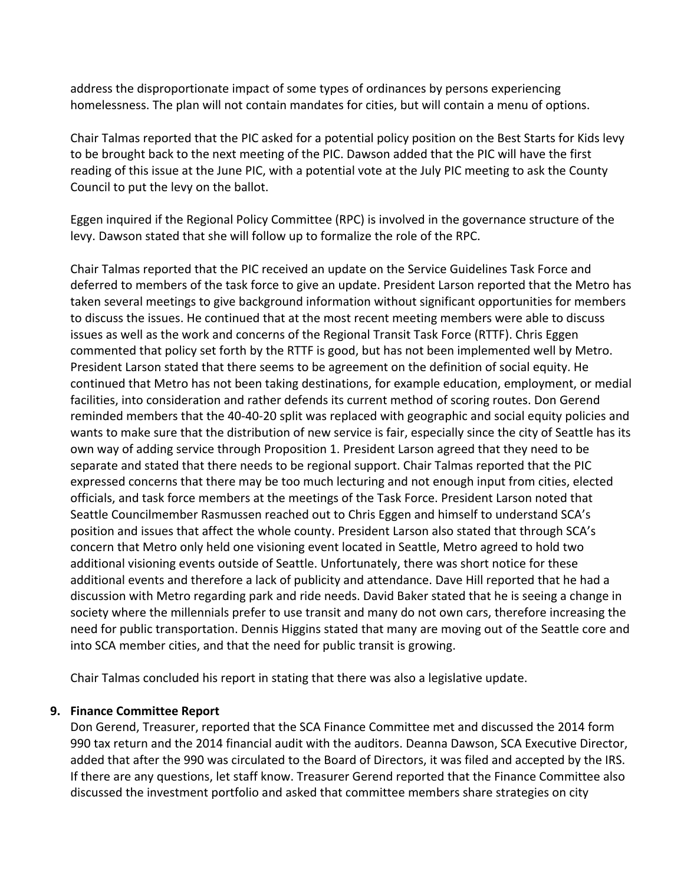address the disproportionate impact of some types of ordinances by persons experiencing homelessness. The plan will not contain mandates for cities, but will contain a menu of options.

Chair Talmas reported that the PIC asked for a potential policy position on the Best Starts for Kids levy to be brought back to the next meeting of the PIC. Dawson added that the PIC will have the first reading of this issue at the June PIC, with a potential vote at the July PIC meeting to ask the County Council to put the levy on the ballot.

Eggen inquired if the Regional Policy Committee (RPC) is involved in the governance structure of the levy. Dawson stated that she will follow up to formalize the role of the RPC.

Chair Talmas reported that the PIC received an update on the Service Guidelines Task Force and deferred to members of the task force to give an update. President Larson reported that the Metro has taken several meetings to give background information without significant opportunities for members to discuss the issues. He continued that at the most recent meeting members were able to discuss issues as well as the work and concerns of the Regional Transit Task Force (RTTF). Chris Eggen commented that policy set forth by the RTTF is good, but has not been implemented well by Metro. President Larson stated that there seems to be agreement on the definition of social equity. He continued that Metro has not been taking destinations, for example education, employment, or medial facilities, into consideration and rather defends its current method of scoring routes. Don Gerend reminded members that the 40‐40‐20 split was replaced with geographic and social equity policies and wants to make sure that the distribution of new service is fair, especially since the city of Seattle has its own way of adding service through Proposition 1. President Larson agreed that they need to be separate and stated that there needs to be regional support. Chair Talmas reported that the PIC expressed concerns that there may be too much lecturing and not enough input from cities, elected officials, and task force members at the meetings of the Task Force. President Larson noted that Seattle Councilmember Rasmussen reached out to Chris Eggen and himself to understand SCA's position and issues that affect the whole county. President Larson also stated that through SCA's concern that Metro only held one visioning event located in Seattle, Metro agreed to hold two additional visioning events outside of Seattle. Unfortunately, there was short notice for these additional events and therefore a lack of publicity and attendance. Dave Hill reported that he had a discussion with Metro regarding park and ride needs. David Baker stated that he is seeing a change in society where the millennials prefer to use transit and many do not own cars, therefore increasing the need for public transportation. Dennis Higgins stated that many are moving out of the Seattle core and into SCA member cities, and that the need for public transit is growing.

Chair Talmas concluded his report in stating that there was also a legislative update.

# **9. Finance Committee Report**

Don Gerend, Treasurer, reported that the SCA Finance Committee met and discussed the 2014 form 990 tax return and the 2014 financial audit with the auditors. Deanna Dawson, SCA Executive Director, added that after the 990 was circulated to the Board of Directors, it was filed and accepted by the IRS. If there are any questions, let staff know. Treasurer Gerend reported that the Finance Committee also discussed the investment portfolio and asked that committee members share strategies on city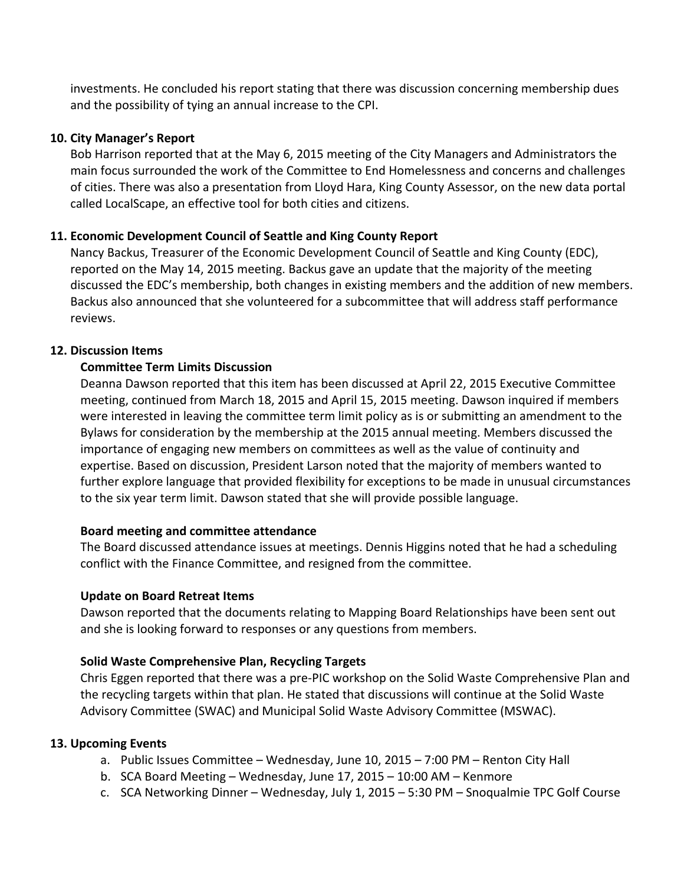investments. He concluded his report stating that there was discussion concerning membership dues and the possibility of tying an annual increase to the CPI.

## **10. City Manager's Report**

Bob Harrison reported that at the May 6, 2015 meeting of the City Managers and Administrators the main focus surrounded the work of the Committee to End Homelessness and concerns and challenges of cities. There was also a presentation from Lloyd Hara, King County Assessor, on the new data portal called LocalScape, an effective tool for both cities and citizens.

# **11. Economic Development Council of Seattle and King County Report**

Nancy Backus, Treasurer of the Economic Development Council of Seattle and King County (EDC), reported on the May 14, 2015 meeting. Backus gave an update that the majority of the meeting discussed the EDC's membership, both changes in existing members and the addition of new members. Backus also announced that she volunteered for a subcommittee that will address staff performance reviews.

# **12. Discussion Items**

## **Committee Term Limits Discussion**

Deanna Dawson reported that this item has been discussed at April 22, 2015 Executive Committee meeting, continued from March 18, 2015 and April 15, 2015 meeting. Dawson inquired if members were interested in leaving the committee term limit policy as is or submitting an amendment to the Bylaws for consideration by the membership at the 2015 annual meeting. Members discussed the importance of engaging new members on committees as well as the value of continuity and expertise. Based on discussion, President Larson noted that the majority of members wanted to further explore language that provided flexibility for exceptions to be made in unusual circumstances to the six year term limit. Dawson stated that she will provide possible language.

## **Board meeting and committee attendance**

The Board discussed attendance issues at meetings. Dennis Higgins noted that he had a scheduling conflict with the Finance Committee, and resigned from the committee.

## **Update on Board Retreat Items**

Dawson reported that the documents relating to Mapping Board Relationships have been sent out and she is looking forward to responses or any questions from members.

## **Solid Waste Comprehensive Plan, Recycling Targets**

Chris Eggen reported that there was a pre‐PIC workshop on the Solid Waste Comprehensive Plan and the recycling targets within that plan. He stated that discussions will continue at the Solid Waste Advisory Committee (SWAC) and Municipal Solid Waste Advisory Committee (MSWAC).

## **13. Upcoming Events**

- a. Public Issues Committee Wednesday, June 10, 2015 7:00 PM Renton City Hall
- b. SCA Board Meeting Wednesday, June 17, 2015 10:00 AM Kenmore
- c. SCA Networking Dinner Wednesday, July 1, 2015 5:30 PM Snoqualmie TPC Golf Course